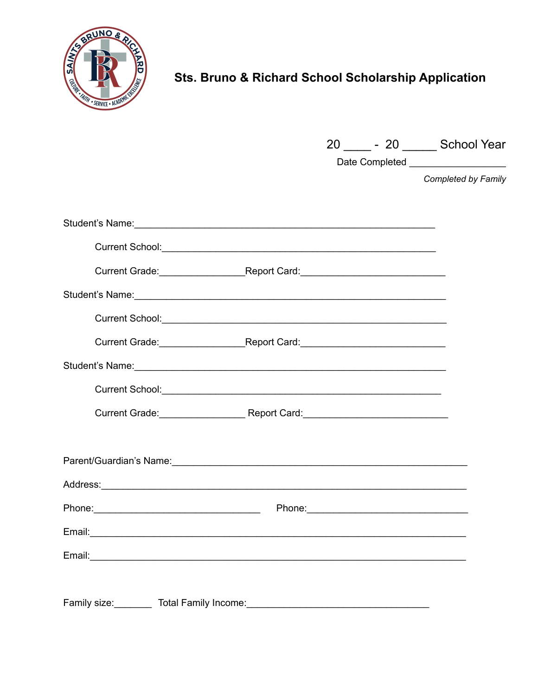

## Sts. Bruno & Richard School Scholarship Application

|                                                                                                                                                                                                                                |  | 20 ______ - 20 _______ School Year                         |
|--------------------------------------------------------------------------------------------------------------------------------------------------------------------------------------------------------------------------------|--|------------------------------------------------------------|
|                                                                                                                                                                                                                                |  | Date Completed ____________________<br>Completed by Family |
| Student's Name: 1990 and 200 and 200 and 200 and 200 and 200 and 200 and 200 and 200 and 200 and 200 and 200 and 200 and 200 and 200 and 200 and 200 and 200 and 200 and 200 and 200 and 200 and 200 and 200 and 200 and 200 a |  |                                                            |
|                                                                                                                                                                                                                                |  |                                                            |
|                                                                                                                                                                                                                                |  |                                                            |
| Student's Name:<br><u> Examples</u>                                                                                                                                                                                            |  |                                                            |
|                                                                                                                                                                                                                                |  |                                                            |
| Current Grade: Report Card: Report Card:                                                                                                                                                                                       |  |                                                            |
| Student's Name:<br>Student's Name:                                                                                                                                                                                             |  |                                                            |
|                                                                                                                                                                                                                                |  |                                                            |
|                                                                                                                                                                                                                                |  |                                                            |
|                                                                                                                                                                                                                                |  |                                                            |
|                                                                                                                                                                                                                                |  |                                                            |
|                                                                                                                                                                                                                                |  |                                                            |
|                                                                                                                                                                                                                                |  |                                                            |
|                                                                                                                                                                                                                                |  |                                                            |
|                                                                                                                                                                                                                                |  |                                                            |
| Family size:<br>Total Family Income:                                                                                                                                                                                           |  |                                                            |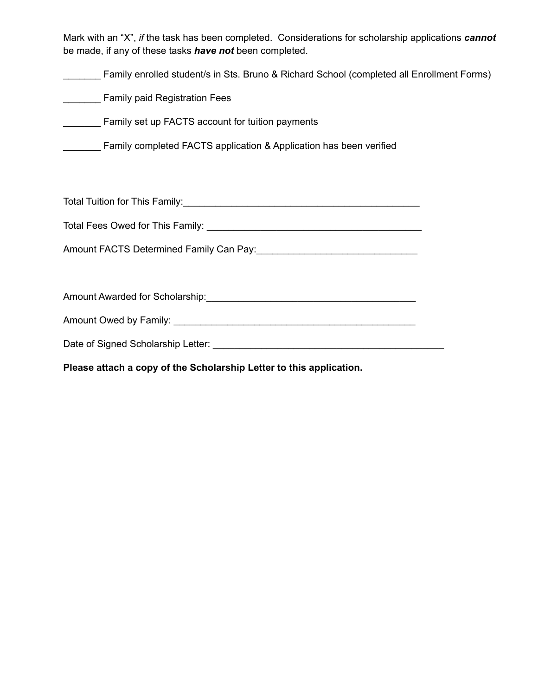Mark with an "X", *if* the task has been completed. Considerations for scholarship applications *cannot* be made, if any of these tasks *have not* been completed.

\_\_\_\_\_\_\_ Family enrolled student/s in Sts. Bruno & Richard School (completed all Enrollment Forms)

**Example 2** Family paid Registration Fees

\_\_\_\_\_\_\_ Family set up FACTS account for tuition payments

Family completed FACTS application & Application has been verified

Total Tuition for This Family:\_\_\_\_\_\_\_\_\_\_\_\_\_\_\_\_\_\_\_\_\_\_\_\_\_\_\_\_\_\_\_\_\_\_\_\_\_\_\_\_\_\_\_\_

Total Fees Owed for This Family: \_\_\_\_\_\_\_\_\_\_\_\_\_\_\_\_\_\_\_\_\_\_\_\_\_\_\_\_\_\_\_\_\_\_\_\_\_\_\_\_

Amount FACTS Determined Family Can Pay:\_\_\_\_\_\_\_\_\_\_\_\_\_\_\_\_\_\_\_\_\_\_\_\_\_\_\_\_\_\_

Amount Awarded for Scholarship:\_\_\_\_\_\_\_\_\_\_\_\_\_\_\_\_\_\_\_\_\_\_\_\_\_\_\_\_\_\_\_\_\_\_\_\_\_\_\_

Amount Owed by Family: **We are all assets the contract of the contract of the contract of the contract of the contract of the contract of the contract of the contract of the contract of the contract of the contract of the** 

Date of Signed Scholarship Letter: \_\_\_\_\_\_\_\_\_\_\_\_\_\_\_\_\_\_\_\_\_\_\_\_\_\_\_\_\_\_\_\_\_\_\_\_\_\_\_\_\_\_\_

**Please attach a copy of the Scholarship Letter to this application.**